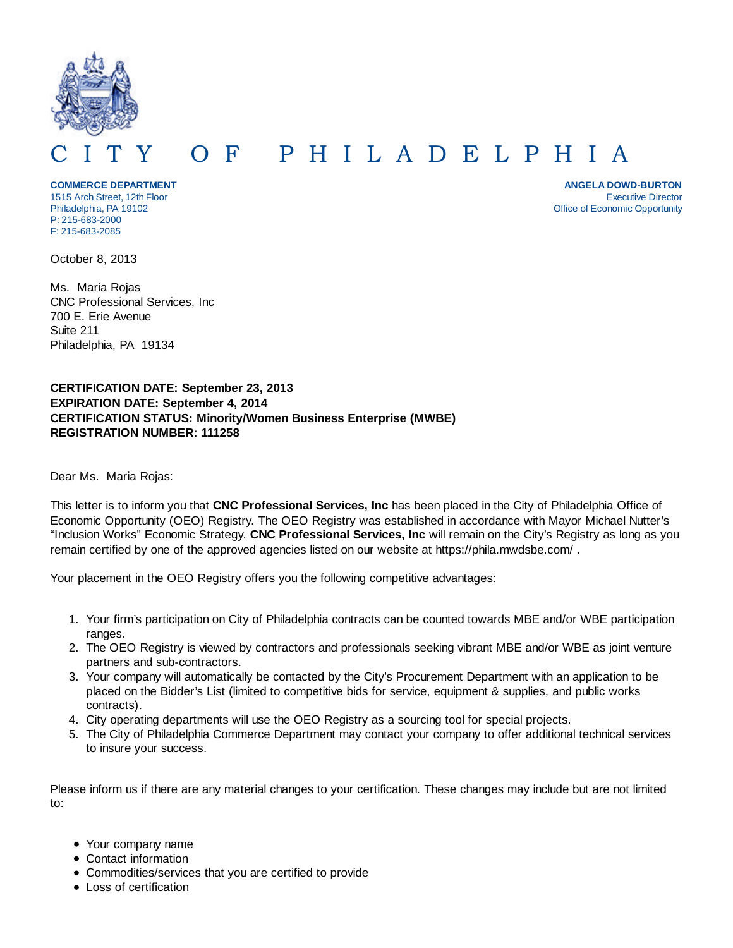

## O F P H I L A D E L P H I A

**COMMERCE DEPARTMENT** 1515 Arch Street, 12th Floor Philadelphia, PA 19102 P: 215-683-2000 F: 215-683-2085

**ANGELA DOWD-BURTON** Executive Director Office of Economic Opportunity

October 8, 2013

Ms. Maria Rojas CNC Professional Services, Inc 700 E. Erie Avenue Suite 211 Philadelphia, PA 19134

## **CERTIFICATION DATE: September 23, 2013 EXPIRATION DATE: September 4, 2014 CERTIFICATION STATUS: Minority/Women Business Enterprise (MWBE) REGISTRATION NUMBER: 111258**

Dear Ms. Maria Rojas:

This letter is to inform you that **CNC Professional Services, Inc** has been placed in the City of Philadelphia Office of Economic Opportunity (OEO) Registry. The OEO Registry was established in accordance with Mayor Michael Nutter's "Inclusion Works" Economic Strategy. **CNC Professional Services, Inc** will remain on the City's Registry as long as you remain certified by one of the approved agencies listed on our website at https://phila.mwdsbe.com/ .

Your placement in the OEO Registry offers you the following competitive advantages:

- 1. Your firm's participation on City of Philadelphia contracts can be counted towards MBE and/or WBE participation ranges.
- 2. The OEO Registry is viewed by contractors and professionals seeking vibrant MBE and/or WBE as joint venture partners and sub-contractors.
- 3. Your company will automatically be contacted by the City's Procurement Department with an application to be placed on the Bidder's List (limited to competitive bids for service, equipment & supplies, and public works contracts).
- 4. City operating departments will use the OEO Registry as a sourcing tool for special projects.
- 5. The City of Philadelphia Commerce Department may contact your company to offer additional technical services to insure your success.

Please inform us if there are any material changes to your certification. These changes may include but are not limited to:

- Your company name
- Contact information
- Commodities/services that you are certified to provide
- Loss of certification